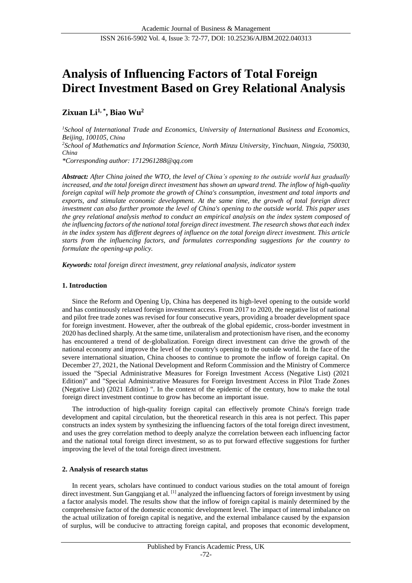# **Analysis of Influencing Factors of Total Foreign Direct Investment Based on Grey Relational Analysis**

# **Zixuan Li1, \* , Biao Wu<sup>2</sup>**

*<sup>1</sup>School of International Trade and Economics, University of International Business and Economics, Beijing, 100105, China <sup>2</sup>School of Mathematics and Information Science, North Minzu University, Yinchuan, Ningxia, 750030, China*

*\*Corresponding author: 1712961288@qq.com*

*Abstract: After China joined the WTO, the level of China's opening to the outside world has gradually increased, and the total foreign direct investment has shown an upward trend. The inflow of high-quality foreign capital will help promote the growth of China's consumption, investment and total imports and exports, and stimulate economic development. At the same time, the growth of total foreign direct investment can also further promote the level of China's opening to the outside world. This paper uses the grey relational analysis method to conduct an empirical analysis on the index system composed of the influencing factors of the national total foreign direct investment. The research shows that each index in the index system has different degrees of influence on the total foreign direct investment. This article starts from the influencing factors, and formulates corresponding suggestions for the country to formulate the opening-up policy.*

*Keywords: total foreign direct investment, grey relational analysis, indicator system*

# **1. Introduction**

Since the Reform and Opening Up, China has deepened its high-level opening to the outside world and has continuously relaxed foreign investment access. From 2017 to 2020, the negative list of national and pilot free trade zones was revised for four consecutive years, providing a broader development space for foreign investment. However, after the outbreak of the global epidemic, cross-border investment in 2020 has declined sharply. At the same time, unilateralism and protectionism have risen, and the economy has encountered a trend of de-globalization. Foreign direct investment can drive the growth of the national economy and improve the level of the country's opening to the outside world. In the face of the severe international situation, China chooses to continue to promote the inflow of foreign capital. On December 27, 2021, the National Development and Reform Commission and the Ministry of Commerce issued the "Special Administrative Measures for Foreign Investment Access (Negative List) (2021 Edition)" and "Special Administrative Measures for Foreign Investment Access in Pilot Trade Zones (Negative List) (2021 Edition) ". In the context of the epidemic of the century, how to make the total foreign direct investment continue to grow has become an important issue.

The introduction of high-quality foreign capital can effectively promote China's foreign trade development and capital circulation, but the theoretical research in this area is not perfect. This paper constructs an index system by synthesizing the influencing factors of the total foreign direct investment, and uses the grey correlation method to deeply analyze the correlation between each influencing factor and the national total foreign direct investment, so as to put forward effective suggestions for further improving the level of the total foreign direct investment.

# **2. Analysis of research status**

In recent years, scholars have continued to conduct various studies on the total amount of foreign direct investment. Sun Gangqiang et al. <sup>[1]</sup> analyzed the influencing factors of foreign investment by using a factor analysis model. The results show that the inflow of foreign capital is mainly determined by the comprehensive factor of the domestic economic development level. The impact of internal imbalance on the actual utilization of foreign capital is negative, and the external imbalance caused by the expansion of surplus, will be conducive to attracting foreign capital, and proposes that economic development,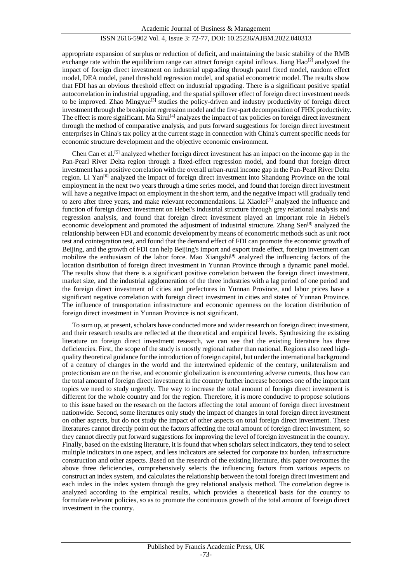appropriate expansion of surplus or reduction of deficit, and maintaining the basic stability of the RMB exchange rate within the equilibrium range can attract foreign capital inflows. Jiang  $Hao^{[2]}$  analyzed the impact of foreign direct investment on industrial upgrading through panel fixed model, random effect model, DEA model, panel threshold regression model, and spatial econometric model. The results show that FDI has an obvious threshold effect on industrial upgrading. There is a significant positive spatial autocorrelation in industrial upgrading, and the spatial spillover effect of foreign direct investment needs to be improved. Zhao Mingyue<sup>[3]</sup> studies the policy-driven and industry productivity of foreign direct investment through the breakpoint regression model and the five-part decomposition of FHK productivity. The effect is more significant. Ma Sirui<sup>[4]</sup> analyzes the impact of tax policies on foreign direct investment through the method of comparative analysis, and puts forward suggestions for foreign direct investment enterprises in China's tax policy at the current stage in connection with China's current specific needs for economic structure development and the objective economic environment.

Chen Can et al.<sup>[5]</sup> analyzed whether foreign direct investment has an impact on the income gap in the Pan-Pearl River Delta region through a fixed-effect regression model, and found that foreign direct investment has a positive correlation with the overall urban-rural income gap in the Pan-Pearl River Delta region. Li Yan<sup>[6]</sup> analyzed the impact of foreign direct investment into Shandong Province on the total employment in the next two years through a time series model, and found that foreign direct investment will have a negative impact on employment in the short term, and the negative impact will gradually tend to zero after three years, and make relevant recommendations. Li Xiaolei<sup>[7]</sup> analyzed the influence and function of foreign direct investment on Hebei's industrial structure through grey relational analysis and regression analysis, and found that foreign direct investment played an important role in Hebei's economic development and promoted the adjustment of industrial structure. Zhang Sen<sup>[8]</sup> analyzed the relationship between FDI and economic development by means of econometric methods such as unit root test and cointegration test, and found that the demand effect of FDI can promote the economic growth of Beijing, and the growth of FDI can help Beijing's import and export trade effect, foreign investment can mobilize the enthusiasm of the labor force. Mao Xiangshi<sup>[9]</sup> analyzed the influencing factors of the location distribution of foreign direct investment in Yunnan Province through a dynamic panel model. The results show that there is a significant positive correlation between the foreign direct investment, market size, and the industrial agglomeration of the three industries with a lag period of one period and the foreign direct investment of cities and prefectures in Yunnan Province, and labor prices have a significant negative correlation with foreign direct investment in cities and states of Yunnan Province. The influence of transportation infrastructure and economic openness on the location distribution of foreign direct investment in Yunnan Province is not significant.

To sum up, at present, scholars have conducted more and wider research on foreign direct investment, and their research results are reflected at the theoretical and empirical levels. Synthesizing the existing literature on foreign direct investment research, we can see that the existing literature has three deficiencies. First, the scope of the study is mostly regional rather than national. Regions also need highquality theoretical guidance for the introduction of foreign capital, but under the international background of a century of changes in the world and the intertwined epidemic of the century, unilateralism and protectionism are on the rise, and economic globalization is encountering adverse currents, thus how can the total amount of foreign direct investment in the country further increase becomes one of the important topics we need to study urgently. The way to increase the total amount of foreign direct investment is different for the whole country and for the region. Therefore, it is more conducive to propose solutions to this issue based on the research on the factors affecting the total amount of foreign direct investment nationwide. Second, some literatures only study the impact of changes in total foreign direct investment on other aspects, but do not study the impact of other aspects on total foreign direct investment. These literatures cannot directly point out the factors affecting the total amount of foreign direct investment, so they cannot directly put forward suggestions for improving the level of foreign investment in the country. Finally, based on the existing literature, it is found that when scholars select indicators, they tend to select multiple indicators in one aspect, and less indicators are selected for corporate tax burden, infrastructure construction and other aspects. Based on the research of the existing literature, this paper overcomes the above three deficiencies, comprehensively selects the influencing factors from various aspects to construct an index system, and calculates the relationship between the total foreign direct investment and each index in the index system through the grey relational analysis method. The correlation degree is analyzed according to the empirical results, which provides a theoretical basis for the country to formulate relevant policies, so as to promote the continuous growth of the total amount of foreign direct investment in the country.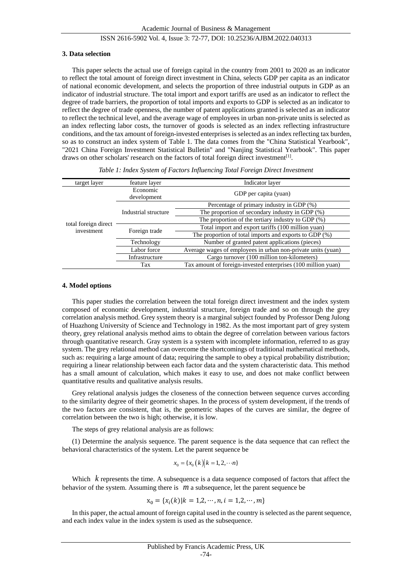#### **3. Data selection**

This paper selects the actual use of foreign capital in the country from 2001 to 2020 as an indicator to reflect the total amount of foreign direct investment in China, selects GDP per capita as an indicator of national economic development, and selects the proportion of three industrial outputs in GDP as an indicator of industrial structure. The total import and export tariffs are used as an indicator to reflect the degree of trade barriers, the proportion of total imports and exports to GDP is selected as an indicator to reflect the degree of trade openness, the number of patent applications granted is selected as an indicator to reflect the technical level, and the average wage of employees in urban non-private units is selected as an index reflecting labor costs, the turnover of goods is selected as an index reflecting infrastructure conditions, and the tax amount of foreign-invested enterprises is selected as an index reflecting tax burden, so as to construct an index system of [Table 1.](#page-2-0) The data comes from the "China Statistical Yearbook", "2021 China Foreign Investment Statistical Bulletin" and "Nanjing Statistical Yearbook". This paper draws on other scholars' research on the factors of total foreign direct investment<sup>[1]</sup>.

<span id="page-2-0"></span>

| target layer                       | feature layer           | Indicator layer                                               |  |
|------------------------------------|-------------------------|---------------------------------------------------------------|--|
| total foreign direct<br>investment | Economic<br>development | GDP per capita (yuan)                                         |  |
|                                    | Industrial structure    | Percentage of primary industry in GDP (%)                     |  |
|                                    |                         | The proportion of secondary industry in GDP $(\%)$            |  |
|                                    |                         | The proportion of the tertiary industry to GDP (%)            |  |
|                                    | Foreign trade           | Total import and export tariffs (100 million yuan)            |  |
|                                    |                         | The proportion of total imports and exports to GDP $(\%)$     |  |
|                                    | Technology              | Number of granted patent applications (pieces)                |  |
|                                    | Labor force             | Average wages of employees in urban non-private units (yuan)  |  |
|                                    | Infrastructure          | Cargo turnover (100 million ton-kilometers)                   |  |
|                                    | Tax                     | Tax amount of foreign-invested enterprises (100 million yuan) |  |

*Table 1: Index System of Factors Influencing Total Foreign Direct Investment*

#### **4. Model options**

This paper studies the correlation between the total foreign direct investment and the index system composed of economic development, industrial structure, foreign trade and so on through the grey correlation analysis method. Grey system theory is a marginal subject founded by Professor Deng Julong of Huazhong University of Science and Technology in 1982. As the most important part of grey system theory, grey relational analysis method aims to obtain the degree of correlation between various factors through quantitative research. Gray system is a system with incomplete information, referred to as gray system. The grey relational method can overcome the shortcomings of traditional mathematical methods, such as: requiring a large amount of data; requiring the sample to obey a typical probability distribution; requiring a linear relationship between each factor data and the system characteristic data. This method has a small amount of calculation, which makes it easy to use, and does not make conflict between quantitative results and qualitative analysis results.

Grey relational analysis judges the closeness of the connection between sequence curves according to the similarity degree of their geometric shapes. In the process of system development, if the trends of the two factors are consistent, that is, the geometric shapes of the curves are similar, the degree of correlation between the two is high; otherwise, it is low.

The steps of grey relational analysis are as follows:

(1) Determine the analysis sequence. The parent sequence is the data sequence that can reflect the behavioral characteristics of the system. Let the parent sequence be

$$
x_0 = \{x_0(k) | k = 1, 2, \cdots n\}
$$

Which  $k$  represents the time. A subsequence is a data sequence composed of factors that affect the behavior of the system. Assuming there is  $m$  a subsequence, let the parent sequence be

$$
\mathbf{x}_0 = \{x_i(k) | k = 1, 2, \cdots, n, i = 1, 2, \cdots, m\}
$$

In this paper, the actual amount of foreign capital used in the country is selected as the parent sequence, and each index value in the index system is used as the subsequence.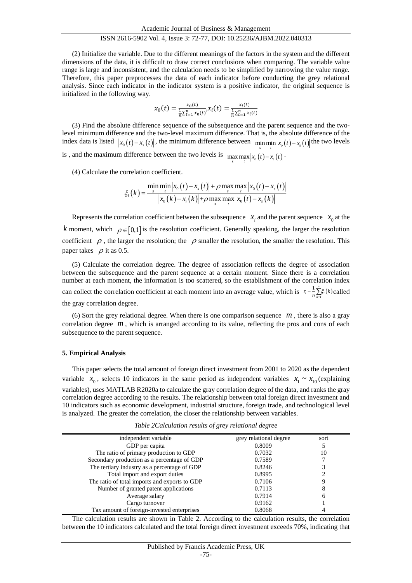(2) Initialize the variable. Due to the different meanings of the factors in the system and the different dimensions of the data, it is difficult to draw correct conclusions when comparing. The variable value range is large and inconsistent, and the calculation needs to be simplified by narrowing the value range. Therefore, this paper preprocesses the data of each indicator before conducting the grey relational analysis. Since each indicator in the indicator system is a positive indicator, the original sequence is initialized in the following way.

$$
x_0(t) = \frac{x_0(t)}{\frac{1}{n}\sum_{t=1}^n x_0(t)}, x_i(t) = \frac{x_i(t)}{\frac{1}{n}\sum_{t=1}^n x_i(t)}
$$

(3) Find the absolute difference sequence of the subsequence and the parent sequence and the twolevel minimum difference and the two-level maximum difference. That is, the absolute difference of the index data is listed  $|x_0(t) - x_s(t)|$ , the minimum difference between  $\min_s \min_t |x_0(t) - x_s(t)|$  the two levels is, and the maximum difference between the two levels is  $\max_{s} \max_{t} |x_o(t) - x_s(t)|$ .

(4) Calculate the correlation coefficient.

$$
\xi_i(k) = \frac{\min_{s} \min_{t} |x_0(t) - x_s(t)| + \rho \max_{s} \max_{t} |x_0(t) - x_s(t)|}{|x_0(k) - x_i(k)| + \rho \max_{s} \max_{t} |x_0(t) - x_s(k)|}
$$

Represents the correlation coefficient between the subsequence  $x_i$  and the parent sequence  $x_0$  at the k moment, which  $\rho \in [0,1]$  is the resolution coefficient. Generally speaking, the larger the resolution coefficient  $\rho$ , the larger the resolution; the  $\rho$  smaller the resolution, the smaller the resolution. This paper takes  $\rho$  it as 0.5.

(5) Calculate the correlation degree. The degree of association reflects the degree of association between the subsequence and the parent sequence at a certain moment. Since there is a correlation number at each moment, the information is too scattered, so the establishment of the correlation index can collect the correlation coefficient at each moment into an average value, which is  $r_i = \frac{1}{n} \sum_{k=1}^{n} \xi_i(k)$ 1 *n*  $r_i = \frac{1}{n} \sum_{k=1}^{n} \xi_i(k)$  called the gray correlation degree.

(6) Sort the grey relational degree. When there is one comparison sequence  $m$ , there is also a gray correlation degree  $m$ , which is arranged according to its value, reflecting the pros and cons of each subsequence to the parent sequence.

#### **5. Empirical Analysis**

This paper selects the total amount of foreign direct investment from 2001 to 2020 as the dependent variable  $x_0$ , selects 10 indicators in the same period as independent variables  $x_1 \sim x_{10}$  (explaining variables), uses MATLAB R2020a to calculate the gray correlation degree of the data, and ranks the gray correlation degree according to the results. The relationship between total foreign direct investment and 10 indicators such as economic development, industrial structure, foreign trade, and technological level is analyzed. The greater the correlation, the closer the relationship between variables.

*Table 2Calculation results of grey relational degree*

| independent variable                          | grey relational degree | sort |  |
|-----------------------------------------------|------------------------|------|--|
| GDP per capita                                | 0.8009                 |      |  |
| The ratio of primary production to GDP        | 0.7032                 | 10   |  |
| Secondary production as a percentage of GDP   | 0.7589                 |      |  |
| The tertiary industry as a percentage of GDP  | 0.8246                 |      |  |
| Total import and export duties                | 0.8995                 |      |  |
| The ratio of total imports and exports to GDP | 0.7106                 |      |  |
| Number of granted patent applications         | 0.7113                 | 8    |  |
| Average salary                                | 0.7914                 | 6    |  |
| Cargo turnover                                | 0.9162                 |      |  |
| Tax amount of foreign-invested enterprises    | 0.8068                 |      |  |

The calculation results are shown in Table 2. According to the calculation results, the correlation between the 10 indicators calculated and the total foreign direct investment exceeds 70%, indicating that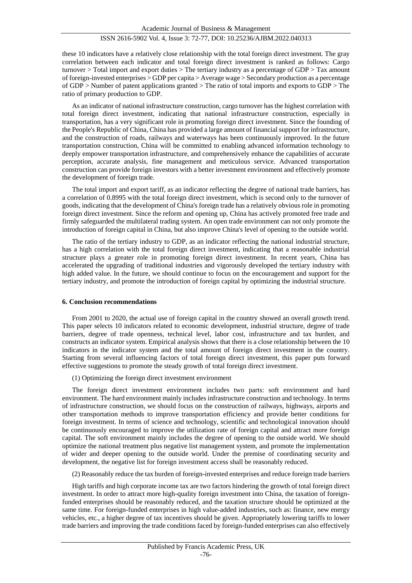these 10 indicators have a relatively close relationship with the total foreign direct investment. The gray correlation between each indicator and total foreign direct investment is ranked as follows: Cargo turnover  $>$  Total import and export duties  $>$  The tertiary industry as a percentage of GDP  $>$  Tax amount of foreign-invested enterprises > GDP per capita > Average wage > Secondary production as a percentage of GDP > Number of patent applications granted > The ratio of total imports and exports to GDP > The ratio of primary production to GDP.

As an indicator of national infrastructure construction, cargo turnover has the highest correlation with total foreign direct investment, indicating that national infrastructure construction, especially in transportation, has a very significant role in promoting foreign direct investment. Since the founding of the People's Republic of China, China has provided a large amount of financial support for infrastructure, and the construction of roads, railways and waterways has been continuously improved. In the future transportation construction, China will be committed to enabling advanced information technology to deeply empower transportation infrastructure, and comprehensively enhance the capabilities of accurate perception, accurate analysis, fine management and meticulous service. Advanced transportation construction can provide foreign investors with a better investment environment and effectively promote the development of foreign trade.

The total import and export tariff, as an indicator reflecting the degree of national trade barriers, has a correlation of 0.8995 with the total foreign direct investment, which is second only to the turnover of goods, indicating that the development of China's foreign trade has a relatively obvious role in promoting foreign direct investment. Since the reform and opening up, China has actively promoted free trade and firmly safeguarded the multilateral trading system. An open trade environment can not only promote the introduction of foreign capital in China, but also improve China's level of opening to the outside world.

The ratio of the tertiary industry to GDP, as an indicator reflecting the national industrial structure, has a high correlation with the total foreign direct investment, indicating that a reasonable industrial structure plays a greater role in promoting foreign direct investment. In recent years, China has accelerated the upgrading of traditional industries and vigorously developed the tertiary industry with high added value. In the future, we should continue to focus on the encouragement and support for the tertiary industry, and promote the introduction of foreign capital by optimizing the industrial structure.

#### **6. Conclusion recommendations**

From 2001 to 2020, the actual use of foreign capital in the country showed an overall growth trend. This paper selects 10 indicators related to economic development, industrial structure, degree of trade barriers, degree of trade openness, technical level, labor cost, infrastructure and tax burden, and constructs an indicator system. Empirical analysis shows that there is a close relationship between the 10 indicators in the indicator system and the total amount of foreign direct investment in the country. Starting from several influencing factors of total foreign direct investment, this paper puts forward effective suggestions to promote the steady growth of total foreign direct investment.

(1) Optimizing the foreign direct investment environment

The foreign direct investment environment includes two parts: soft environment and hard environment. The hard environment mainly includes infrastructure construction and technology. In terms of infrastructure construction, we should focus on the construction of railways, highways, airports and other transportation methods to improve transportation efficiency and provide better conditions for foreign investment. In terms of science and technology, scientific and technological innovation should be continuously encouraged to improve the utilization rate of foreign capital and attract more foreign capital. The soft environment mainly includes the degree of opening to the outside world. We should optimize the national treatment plus negative list management system, and promote the implementation of wider and deeper opening to the outside world. Under the premise of coordinating security and development, the negative list for foreign investment access shall be reasonably reduced.

(2) Reasonably reduce the tax burden of foreign-invested enterprises and reduce foreign trade barriers

High tariffs and high corporate income tax are two factors hindering the growth of total foreign direct investment. In order to attract more high-quality foreign investment into China, the taxation of foreignfunded enterprises should be reasonably reduced, and the taxation structure should be optimized at the same time. For foreign-funded enterprises in high value-added industries, such as: finance, new energy vehicles, etc., a higher degree of tax incentives should be given. Appropriately lowering tariffs to lower trade barriers and improving the trade conditions faced by foreign-funded enterprises can also effectively